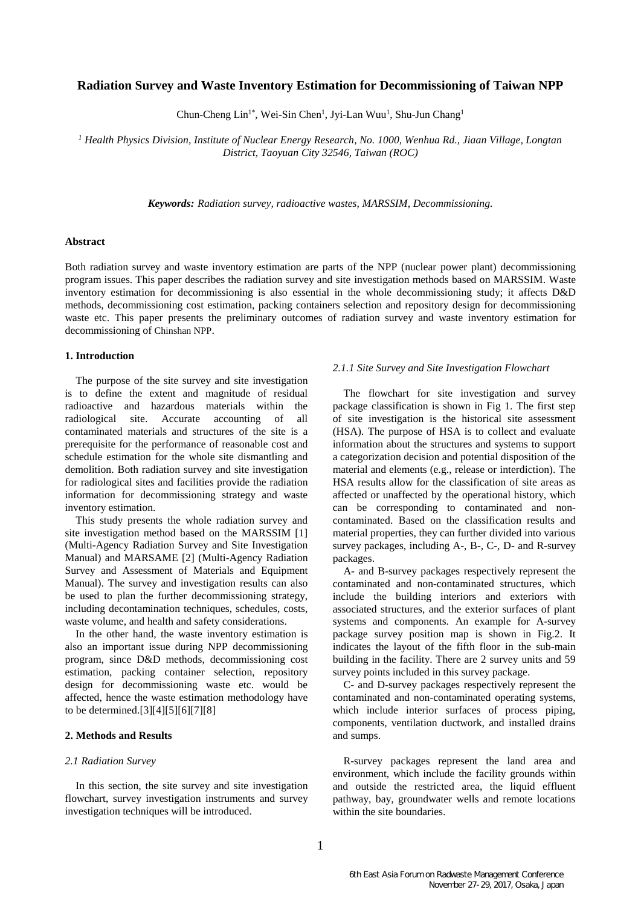# **Radiation Survey and Waste Inventory Estimation for Decommissioning of Taiwan NPP**

Chun-Cheng Lin<sup>1\*</sup>, Wei-Sin Chen<sup>1</sup>, Jyi-Lan Wuu<sup>1</sup>, Shu-Jun Chang<sup>1</sup>

*<sup>1</sup> Health Physics Division, Institute of Nuclear Energy Research, No. 1000, Wenhua Rd., Jiaan Village, Longtan District, Taoyuan City 32546, Taiwan (ROC)*

*Keywords: Radiation survey, radioactive wastes, MARSSIM, Decommissioning.*

# **Abstract**

Both radiation survey and waste inventory estimation are parts of the NPP (nuclear power plant) decommissioning program issues. This paper describes the radiation survey and site investigation methods based on MARSSIM. Waste inventory estimation for decommissioning is also essential in the whole decommissioning study; it affects D&D methods, decommissioning cost estimation, packing containers selection and repository design for decommissioning waste etc. This paper presents the preliminary outcomes of radiation survey and waste inventory estimation for decommissioning of Chinshan NPP.

### **1. Introduction**

The purpose of the site survey and site investigation is to define the extent and magnitude of residual radioactive and hazardous materials within the radiological site. Accurate accounting of all contaminated materials and structures of the site is a prerequisite for the performance of reasonable cost and schedule estimation for the whole site dismantling and demolition. Both radiation survey and site investigation for radiological sites and facilities provide the radiation information for decommissioning strategy and waste inventory estimation.

This study presents the whole radiation survey and site investigation method based on the MARSSIM [1] (Multi-Agency Radiation Survey and Site Investigation Manual) and MARSAME [2] (Multi-Agency Radiation Survey and Assessment of Materials and Equipment Manual). The survey and investigation results can also be used to plan the further decommissioning strategy, including decontamination techniques, schedules, costs, waste volume, and health and safety considerations.

In the other hand, the waste inventory estimation is also an important issue during NPP decommissioning program, since D&D methods, decommissioning cost estimation, packing container selection, repository design for decommissioning waste etc. would be affected, hence the waste estimation methodology have to be determined.[3][4][5][6][7][8]

# **2. Methods and Results**

#### *2.1 Radiation Survey*

In this section, the site survey and site investigation flowchart, survey investigation instruments and survey investigation techniques will be introduced.

#### *2.1.1 Site Survey and Site Investigation Flowchart*

The flowchart for site investigation and survey package classification is shown in Fig 1. The first step of site investigation is the historical site assessment (HSA). The purpose of HSA is to collect and evaluate information about the structures and systems to support a categorization decision and potential disposition of the material and elements (e.g., release or interdiction). The HSA results allow for the classification of site areas as affected or unaffected by the operational history, which can be corresponding to contaminated and noncontaminated. Based on the classification results and material properties, they can further divided into various survey packages, including A-, B-, C-, D- and R-survey packages.

A- and B-survey packages respectively represent the contaminated and non-contaminated structures, which include the building interiors and exteriors with associated structures, and the exterior surfaces of plant systems and components. An example for A-survey package survey position map is shown in Fig.2. It indicates the layout of the fifth floor in the sub-main building in the facility. There are 2 survey units and 59 survey points included in this survey package.

C- and D-survey packages respectively represent the contaminated and non-contaminated operating systems, which include interior surfaces of process piping, components, ventilation ductwork, and installed drains and sumps.

R-survey packages represent the land area and environment, which include the facility grounds within and outside the restricted area, the liquid effluent pathway, bay, groundwater wells and remote locations within the site boundaries.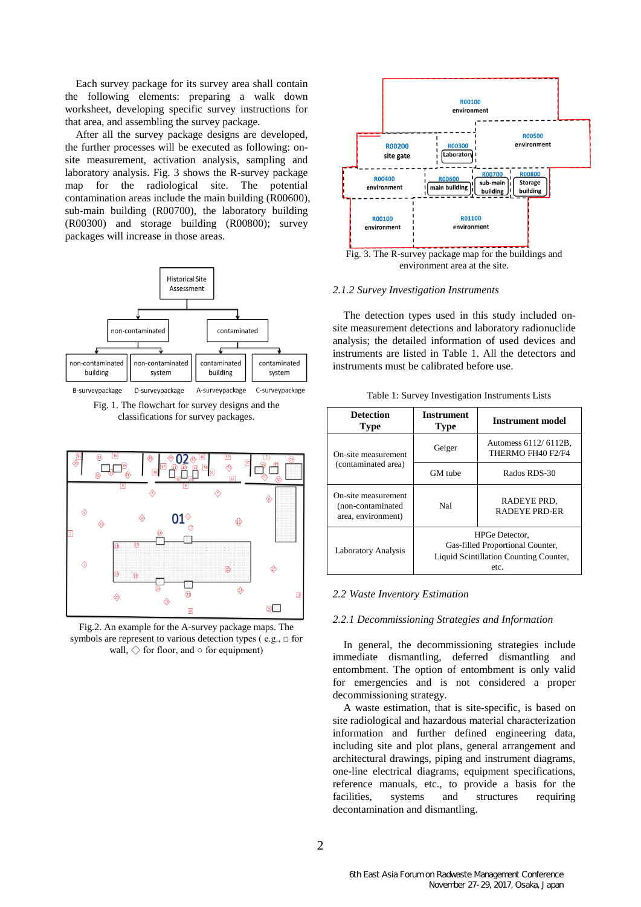Each survey package for its survey area shall contain the following elements: preparing a walk down worksheet, developing specific survey instructions for that area, and assembling the survey package.

After all the survey package designs are developed, the further processes will be executed as following: onsite measurement, activation analysis, sampling and laboratory analysis. Fig. 3 shows the R-survey package map for the radiological site. The potential contamination areas include the main building (R00600), sub-main building (R00700), the laboratory building (R00300) and storage building (R00800); survey packages will increase in those areas.



Fig. 1. The flowchart for survey designs and the classifications for survey packages.



Fig.2. An example for the A-survey package maps. The symbols are represent to various detection types (e.g.,  $\Box$  for wall,  $\diamondsuit$  for floor, and  $\circ$  for equipment)



### *2.1.2 Survey Investigation Instruments*

The detection types used in this study included onsite measurement detections and laboratory radionuclide analysis; the detailed information of used devices and instruments are listed in Table 1. All the detectors and instruments must be calibrated before use.

|  |  | Table 1: Survey Investigation Instruments Lists |  |  |
|--|--|-------------------------------------------------|--|--|
|--|--|-------------------------------------------------|--|--|

| <b>Detection</b><br><b>Type</b>                                 | <b>Instrument</b><br><b>Type</b>                                                                     | Instrument model                          |
|-----------------------------------------------------------------|------------------------------------------------------------------------------------------------------|-------------------------------------------|
| On-site measurement                                             | Geiger                                                                                               | Automess 6112/6112B,<br>THERMO FH40 F2/F4 |
| (contaminated area)                                             | GM tube                                                                                              | Rados RDS-30                              |
| On-site measurement<br>(non-contaminated)<br>area, environment) | NaI                                                                                                  | RADEYE PRD,<br><b>RADEYE PRD-ER</b>       |
| Laboratory Analysis                                             | HPGe Detector,<br>Gas-filled Proportional Counter,<br>Liquid Scintillation Counting Counter,<br>etc. |                                           |

#### *2.2 Waste Inventory Estimation*

## *2.2.1 Decommissioning Strategies and Information*

In general, the decommissioning strategies include immediate dismantling, deferred dismantling and entombment. The option of entombment is only valid for emergencies and is not considered a proper decommissioning strategy.

A waste estimation, that is site-specific, is based on site radiological and hazardous material characterization information and further defined engineering data, including site and plot plans, general arrangement and architectural drawings, piping and instrument diagrams, one-line electrical diagrams, equipment specifications, reference manuals, etc., to provide a basis for the facilities, systems and structures requiring decontamination and dismantling.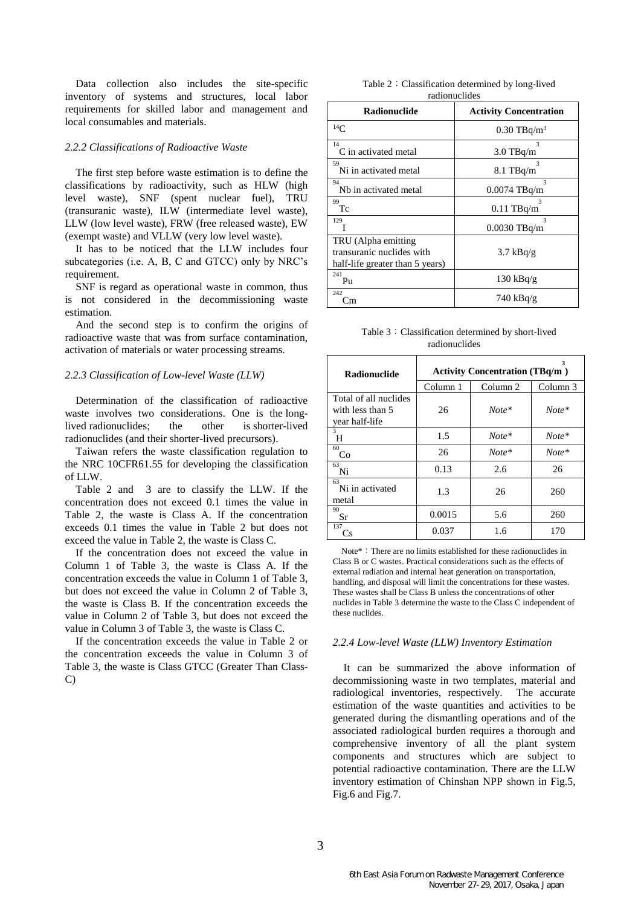Data collection also includes the site-specific inventory of systems and structures, local labor requirements for skilled labor and management and local consumables and materials.

### *2.2.2 Classifications of Radioactive Waste*

The first step before waste estimation is to define the classifications by radioactivity, such as HLW (high level waste), SNF (spent nuclear fuel), TRU (transuranic waste), ILW (intermediate level waste), LLW (low level waste), FRW (free released waste), EW (exempt waste) and VLLW (very low level waste).

It has to be noticed that the LLW includes four subcategories (i.e. A, B, C and GTCC) only by NRC's requirement.

SNF is regard as operational waste in common, thus is not considered in the decommissioning waste estimation.

And the second step is to confirm the origins of radioactive waste that was from surface contamination, activation of materials or water processing streams.

## *2.2.3 Classification of Low-level Waste (LLW)*

Determination of the classification of radioactive waste involves two considerations. One is the longlived radionuclides; the other is shorter-lived radionuclides (and their shorter-lived precursors).

Taiwan refers the waste classification regulation to the NRC 10CFR61.55 for developing the classification of LLW.

Table 2 and 3 are to classify the LLW. If the concentration does not exceed 0.1 times the value in Table 2, the waste is Class A. If the concentration exceeds 0.1 times the value in Table 2 but does not exceed the value in Table 2, the waste is Class C.

If the concentration does not exceed the value in Column 1 of Table 3, the waste is Class A. If the concentration exceeds the value in Column 1 of Table 3, but does not exceed the value in Column 2 of Table 3, the waste is Class B. If the concentration exceeds the value in Column 2 of Table 3, but does not exceed the value in Column 3 of Table 3, the waste is Class C.

If the concentration exceeds the value in Table 2 or the concentration exceeds the value in Column 3 of Table 3, the waste is Class GTCC (Greater Than Class-C)

Table 2:Classification determined by long-lived radionuclides

| <b>Radionuclide</b>                                                                 | <b>Activity Concentration</b>      |
|-------------------------------------------------------------------------------------|------------------------------------|
| 14 <sup>C</sup>                                                                     | $0.30$ TBq/m <sup>3</sup>          |
| 14<br>C in activated metal                                                          | $\mathbf{3}$<br>$3.0$ TBq/m        |
| 59<br>Ni in activated metal                                                         | $\mathbf{3}$<br>$8.1$ TBq/m        |
| 94<br>Nh in activated metal                                                         | $\mathbf{3}$<br>$0.0074$ TBq/m     |
| 99<br>Tс                                                                            | $\mathbf{\hat{z}}$<br>$0.11$ TBq/m |
| 129                                                                                 | $\mathbf{3}$<br>$0.0030$ TBq/m     |
| TRU (Alpha emitting<br>transuranic nuclides with<br>half-life greater than 5 years) | $3.7$ kBq/g                        |
| 241<br>Pu                                                                           | $130$ kBq/g                        |
| 242<br>∴m                                                                           | 740 kBq/g                          |

Table 3:Classification determined by short-lived radionuclides

| <b>Radionuclide</b>                                         |          | <b>Activity Concentration (TBq/m)</b> |          |  |
|-------------------------------------------------------------|----------|---------------------------------------|----------|--|
|                                                             | Column 1 | Column <sub>2</sub>                   | Column 3 |  |
| Total of all nuclides<br>with less than 5<br>year half-life | 26       | $Note*$                               | $Note*$  |  |
| 3<br>Н                                                      | 1.5      | $Note*$                               | $Note*$  |  |
| 60<br>Co                                                    | 26       | $Note*$                               | $Note*$  |  |
| 63<br>Ni                                                    | 0.13     | 2.6                                   | 26       |  |
| 63<br>Ni in activated<br>metal                              | 1.3      | 26                                    | 260      |  |
| 90<br>Sr                                                    | 0.0015   | 5.6                                   | 260      |  |
| 137<br>Сs                                                   | 0.037    | 1.6                                   | 170      |  |

Note\*:There are no limits established for these radionuclides in Class B or C wastes. Practical considerations such as the effects of external radiation and internal heat generation on transportation, handling, and disposal will limit the concentrations for these wastes. These wastes shall be Class B unless the concentrations of other nuclides in Table 3 determine the waste to the Class C independent of these nuclides.

### *2.2.4 Low-level Waste (LLW) Inventory Estimation*

It can be summarized the above information of decommissioning waste in two templates, material and radiological inventories, respectively. The accurate estimation of the waste quantities and activities to be generated during the dismantling operations and of the associated radiological burden requires a thorough and comprehensive inventory of all the plant system components and structures which are subject to potential radioactive contamination. There are the LLW inventory estimation of Chinshan NPP shown in Fig.5, Fig.6 and Fig.7.